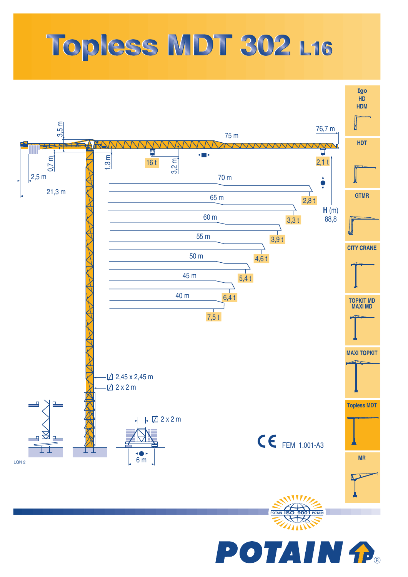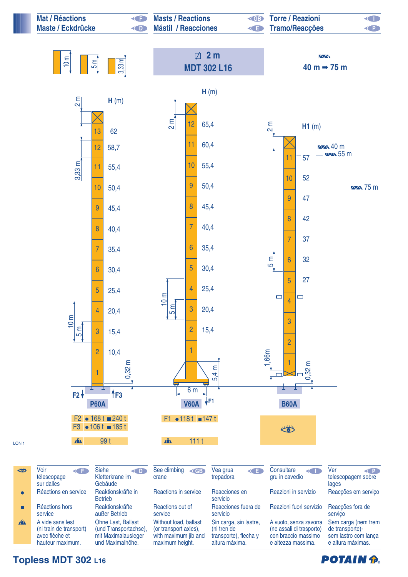

**POTAIN &**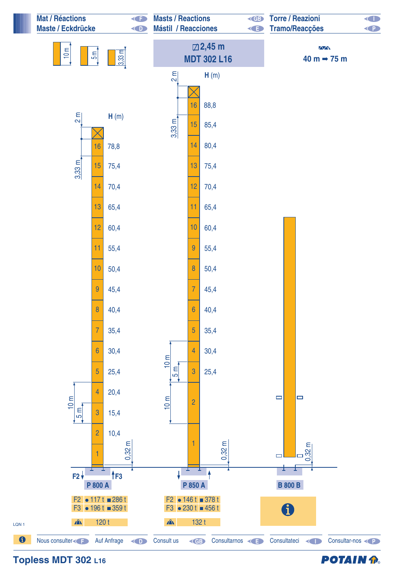

## **POTAIN P.**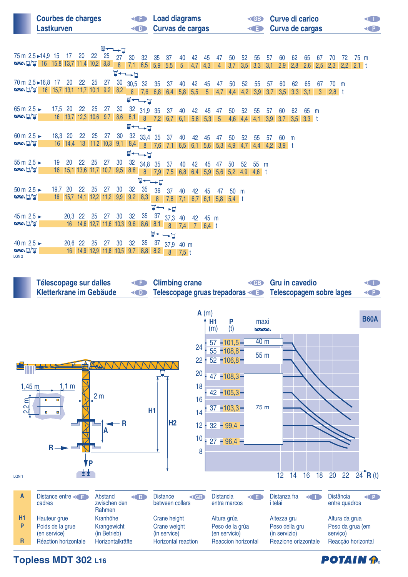| <b>Courbes de charges</b><br>Lastkurven | <b>Example 2</b> Load diagrams<br><b>Example 2 Curvas de cargas</b> | <b>ED</b> Curve di carico<br><b>E</b> Curva de cargas | K P I |
|-----------------------------------------|---------------------------------------------------------------------|-------------------------------------------------------|-------|
|                                         |                                                                     |                                                       |       |

| 75 m 2,5 ► 14,9 15<br>$\sqrt{2}$ $\frac{1}{2}$ $\frac{1}{2}$ 16 15,8 13,7 11,4 10,2 8,8                                    |         | 17                    | 20    | 22                         | 25    |      |                                            | 27 30 32 35                                                                                   |  | 37                              | 40 | 42 | 45             | 47              | 50                  | 52  | 55        | 57  | 60          | 62  | 65      | 67             | 70      | 72  | 75 m    |  |
|----------------------------------------------------------------------------------------------------------------------------|---------|-----------------------|-------|----------------------------|-------|------|--------------------------------------------|-----------------------------------------------------------------------------------------------|--|---------------------------------|----|----|----------------|-----------------|---------------------|-----|-----------|-----|-------------|-----|---------|----------------|---------|-----|---------|--|
|                                                                                                                            |         |                       |       |                            |       |      | $\Psi \leftarrow \rightarrow \blacksquare$ | 8 7,1 6,5 5,9 5,5 5 4,7 4,3                                                                   |  |                                 |    |    |                | 4               | 3,7                 | 3,5 | 3,3       | 3,1 | 2,9         | 2,8 | 2,6     | 2,5            | 2,3     | 2,2 | $2,1$ t |  |
| 70 m 2,5 ► 16,8 17 20 22 25                                                                                                |         |                       |       |                            | 27    |      |                                            | $\frac{30}{10}$ 30,5 32 35 37                                                                 |  |                                 | 40 | 42 | 45             | 47              | 50                  | 52  | 55        | 57  | 60          | 62  | 65      | 67             | 70 m    |     |         |  |
| $\sim$ $\frac{1}{2}$   $\frac{16}{4}$   15,7   13,1   11,7   10,1   9,2   8,2   8   7,6   6,8   6,4   5,8   5,5            |         |                       |       |                            |       |      |                                            | $\blacksquare \leftarrow \rightarrow \blacksquare$                                            |  |                                 |    |    | 5 <sup>5</sup> | 4,7             | 4,4                 |     | $4,2$ 3,9 |     | $3,7$ $3,5$ | 3,3 | 3,1     | 3 <sup>1</sup> | $2,8$ t |     |         |  |
| 65 m $2,5$ $\triangleright$                                                                                                | 17,5 20 |                       | 22 25 |                            | 27    | 30   |                                            | 32 31,9 35                                                                                    |  | 37 40                           |    | 42 | 45             | 47              | 50                  | 52  | 55        | 57  | 60          | 62  | 65      | m              |         |     |         |  |
| <b>AXNT/W</b>                                                                                                              |         |                       |       |                            |       |      |                                            | 16 13,7 12,3 10,6 9,7 8,6 8,1 8 7,2 6,7 6,1 5,8 5,3                                           |  |                                 |    |    |                | $5\overline{)}$ | 4,6                 | 4,4 | 4,1       | 3,9 | 3,7         | 3,5 | $3,3$ t |                |         |     |         |  |
|                                                                                                                            |         |                       |       |                            |       |      |                                            | $\nabla \rightarrow \nabla$                                                                   |  |                                 |    |    |                |                 |                     |     |           |     |             |     |         |                |         |     |         |  |
| 60 m $2.5 \triangleright$<br><b>AANT/W</b>                                                                                 | 18,3 20 | $16 \big  14,4 \big $ | 22 25 |                            | 27    |      |                                            | 30 32 33,4 35                                                                                 |  | 37                              | 40 | 42 | 45             | 47              | 50                  | 52  | -55       | -57 | 60          | m   |         |                |         |     |         |  |
|                                                                                                                            |         |                       |       |                            |       |      |                                            | 13 11,2 10,3 9,1 8,4 8 7,6 7,1 6,5 6,1 5,6 5,3<br>$\blacksquare \dashrightarrow \blacksquare$ |  |                                 |    |    |                |                 | 4,9                 | 4,7 | 4,4       |     | $4,2$ 3,9 t |     |         |                |         |     |         |  |
| 55 m $2,5 -$                                                                                                               | 19      | 20                    | 22 25 |                            | 27    | - 30 |                                            | $32$ 34,8 35                                                                                  |  | 37                              | 40 | 42 | 45             | 47              | 50                  | 52  | 55 m      |     |             |     |         |                |         |     |         |  |
| <b>AANT/W</b>                                                                                                              |         |                       |       |                            |       |      |                                            | 16 15,1 13,6 11,7 10,7 9,5 8,8 8 7,9 7,5 6,8 6,4 5,9 5,6 5,2 4,9                              |  |                                 |    |    |                |                 |                     |     | $4,6$ t   |     |             |     |         |                |         |     |         |  |
|                                                                                                                            |         |                       |       |                            |       |      |                                            | $\Psi \rightarrow \Psi$                                                                       |  |                                 |    |    |                |                 |                     |     |           |     |             |     |         |                |         |     |         |  |
| 50 m $2,5$ $\triangleright$                                                                                                | 19,7    | 20                    | 22    | 25                         | 27 30 |      | 32                                         | 35                                                                                            |  | 36 37                           | 40 | 42 | 45             | 47              | 50 m                |     |           |     |             |     |         |                |         |     |         |  |
| <b>AANT/W</b>                                                                                                              |         |                       |       | 16 15,7 14,1 12,2 11,2 9,9 |       |      | 9,2                                        | 8,3                                                                                           |  | $8 \t7,8 \t7,1$                 |    |    |                |                 | $6,7$ 6,1 5,8 5,4 t |     |           |     |             |     |         |                |         |     |         |  |
| 45 m $2,5 -$                                                                                                               |         |                       |       |                            |       |      | 32                                         |                                                                                               |  | $\nabla \rightarrow \mathbf{r}$ |    |    |                |                 |                     |     |           |     |             |     |         |                |         |     |         |  |
| <b>AANT/W</b>                                                                                                              |         | 20,3 22 25            |       |                            | 27    | 30   |                                            | 35 37 37,3                                                                                    |  |                                 | 40 | 42 | 45 m           |                 |                     |     |           |     |             |     |         |                |         |     |         |  |
| 16 14,6 12,7 11,6 10,3 9,6<br>$8,6$ $8,1$ $8$ $7,4$<br>$7 \t6,4 \t1$<br>$\blacksquare \leftarrow \rightarrow \blacksquare$ |         |                       |       |                            |       |      |                                            |                                                                                               |  |                                 |    |    |                |                 |                     |     |           |     |             |     |         |                |         |     |         |  |
| 40 m $2,5$ $\sim$                                                                                                          |         | 20,6 22 25            |       |                            | 27    | 30   | 32                                         |                                                                                               |  | 35 37 37,9 40 m                 |    |    |                |                 |                     |     |           |     |             |     |         |                |         |     |         |  |
| <b>AANT/W</b><br>LON <sub>2</sub>                                                                                          |         |                       |       | 16 14,9 12,9 11,8 10,5 9,7 |       |      |                                            |                                                                                               |  | 8,8 8,2 8 7,5 t                 |    |    |                |                 |                     |     |           |     |             |     |         |                |         |     |         |  |



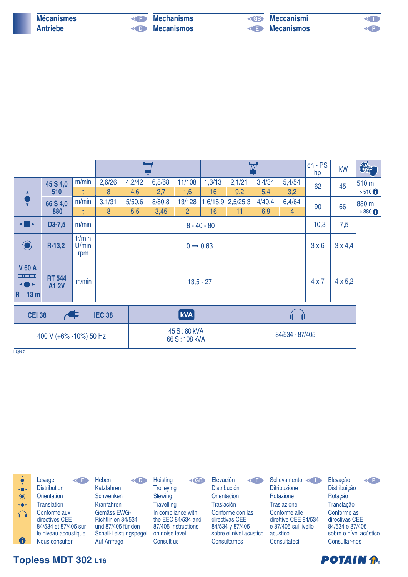| <b>Mécanismes</b> | <b>E</b> Mechanisms          | <b>Electronismi</b> |  |
|-------------------|------------------------------|---------------------|--|
| <b>Antriebe</b>   | <b>Example 20 Mecanismos</b> | <b>E</b> Mecanismos |  |
|                   |                              |                     |  |

|                                                             |                              |                        |        |        |             |                              |               | IV                |        |                | $ch - PS$<br>hp | kW             | <b>Colump</b>       |
|-------------------------------------------------------------|------------------------------|------------------------|--------|--------|-------------|------------------------------|---------------|-------------------|--------|----------------|-----------------|----------------|---------------------|
|                                                             | 45 S 4,0                     | m/min                  | 2,6/26 | 4,2/42 | 6,8/68      | 11/108                       | 1,3/13        | 2,1/21            | 3,4/34 | 5,4/54         | 62              | 45             | 510 m               |
| $\blacktriangle$                                            | 510                          |                        | 8      | 4,6    | 2,7         | 1,6                          | 16            | 9,2               | 5,4    | 3,2            |                 |                | $>510$ <sup>O</sup> |
| $\frac{\bullet}{\mathbf{v}}$                                | 66 S 4,0                     | m/min                  | 3,1/31 | 5/50,6 | 8/80,8      | 13/128                       |               | 1,6/15,9 2,5/25,3 | 4/40,4 | 6,4/64         | 90              | 66             | 880 m               |
|                                                             | 880                          | t                      | 8      | 5,5    | 3,45        | $\overline{2}$               | 16            | 11                | 6,9    | $\overline{4}$ |                 |                | $>880$ $\odot$      |
| ◂▉▸                                                         | $D3-7,5$                     | m/min                  |        |        |             |                              | $8 - 40 - 80$ |                   |        |                | 10,3            | 7,5            |                     |
| $\bigodot$                                                  | $R-13,2$                     | tr/min<br>U/min<br>rpm |        |        |             | $0 \rightarrow 0,63$         |               |                   |        |                | 3x6             |                |                     |
| <b>V60A</b><br><b>THEFT</b><br>◂⋒▸<br>13 <sub>m</sub><br>R. | <b>RT 544</b><br><b>A12V</b> | m/min                  |        |        | $13,5 - 27$ |                              |               |                   |        |                |                 | $4 \times 5,2$ |                     |
| <b>IEC 38</b><br><b>CEI 38</b>                              |                              |                        |        |        | <b>kVA</b>  |                              |               |                   |        | 4 D            |                 |                |                     |
| 400 V (+6% -10%) 50 Hz                                      |                              |                        |        |        |             | 45 S:80 kVA<br>66 S: 108 kVA |               | 84/534 - 87/405   |        |                |                 |                |                     |

LQN<sub>2</sub>

|                | Levage<br>≺⊂                                                                                     | <b>Heben</b><br><b>KID</b>                                                                      | Hoisting<br><b>EB</b>                                                                           | Elevación<br>K∎                                                                                  | Sollevamento                                                                              | Elevação<br>$\left\langle \right\rangle$                                                    |
|----------------|--------------------------------------------------------------------------------------------------|-------------------------------------------------------------------------------------------------|-------------------------------------------------------------------------------------------------|--------------------------------------------------------------------------------------------------|-------------------------------------------------------------------------------------------|---------------------------------------------------------------------------------------------|
| $\leftarrow$   | <b>Distribution</b>                                                                              | Katzfahren                                                                                      | <b>Trolleying</b>                                                                               | <b>Distribución</b>                                                                              | <b>Ditribuzione</b>                                                                       | Distribuição                                                                                |
| $\bigcirc$     | Orientation                                                                                      | <b>Schwenken</b>                                                                                | Slewing                                                                                         | Orientación                                                                                      | Rotazione                                                                                 | Rotação                                                                                     |
| $\rightarrow$  | <b>Franslation</b>                                                                               | Kranfahren                                                                                      | <b>Travelling</b>                                                                               | Traslación                                                                                       | <b>Traslazione</b>                                                                        | Translação                                                                                  |
| $\bigcap$<br>0 | Conforme aux<br>directives CEE<br>84/534 et 87/405 sur<br>le niveau acoustique<br>Nous consulter | Gemäss EWG-<br>Richtlinien 84/534<br>und 87/405 für den<br>Schall-Leistungspegel<br>Auf Anfrage | In compliance with<br>the EEC 84/534 and<br>87/405 Instructions<br>on noise level<br>Consult us | Conforme con las<br>directivas CEE<br>84/534 v 87/405<br>sobre el nivel acustico<br>Consultarnos | Conforme alle<br>direttive CEE 84/534<br>e 87/405 sul livello<br>acustico<br>Consultateci | Conforme as<br>directivas CEE<br>84/534 e 87/405<br>sobre o nível acústico<br>Consultar-nos |

## **POTAIN P.**

## **Topless MDT 302 L16**